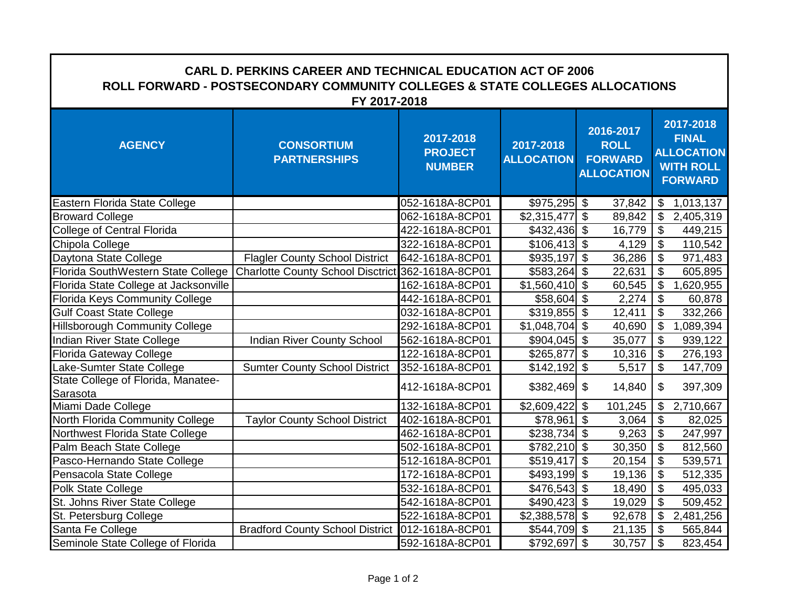| <b>CARL D. PERKINS CAREER AND TECHNICAL EDUCATION ACT OF 2006</b><br>ROLL FORWARD - POSTSECONDARY COMMUNITY COLLEGES & STATE COLLEGES ALLOCATIONS<br>FY 2017-2018 |                                          |                                              |                                |                                                                 |                                                                                      |  |  |  |
|-------------------------------------------------------------------------------------------------------------------------------------------------------------------|------------------------------------------|----------------------------------------------|--------------------------------|-----------------------------------------------------------------|--------------------------------------------------------------------------------------|--|--|--|
| <b>AGENCY</b>                                                                                                                                                     | <b>CONSORTIUM</b><br><b>PARTNERSHIPS</b> | 2017-2018<br><b>PROJECT</b><br><b>NUMBER</b> | 2017-2018<br><b>ALLOCATION</b> | 2016-2017<br><b>ROLL</b><br><b>FORWARD</b><br><b>ALLOCATION</b> | 2017-2018<br><b>FINAL</b><br><b>ALLOCATION</b><br><b>WITH ROLL</b><br><b>FORWARD</b> |  |  |  |
| Eastern Florida State College                                                                                                                                     |                                          | 052-1618A-8CP01                              | $$975,295$ \$                  | 37,842                                                          | 1,013,137<br>\$                                                                      |  |  |  |
| <b>Broward College</b>                                                                                                                                            |                                          | 062-1618A-8CP01                              | \$2,315,477                    | $\overline{\mathcal{G}}$<br>89,842                              | $\boldsymbol{\mathsf{S}}$<br>2,405,319                                               |  |  |  |
| <b>College of Central Florida</b>                                                                                                                                 |                                          | 422-1618A-8CP01                              | $$432,436$ \$                  | 16,779                                                          | \$<br>449,215                                                                        |  |  |  |
| Chipola College                                                                                                                                                   |                                          | 322-1618A-8CP01                              | $$106,413$ \$                  | 4,129                                                           | $\boldsymbol{\mathsf{S}}$<br>110,542                                                 |  |  |  |
| Daytona State College                                                                                                                                             | <b>Flagler County School District</b>    | 642-1618A-8CP01                              | \$935,197                      | $\boldsymbol{\mathsf{S}}$<br>36,286                             | $\boldsymbol{\mathsf{S}}$<br>971,483                                                 |  |  |  |
| Florida SouthWestern State College                                                                                                                                | <b>Charlotte County School Disctrict</b> | 362-1618A-8CP01                              | \$583,264                      | $\boldsymbol{\mathsf{S}}$<br>22,631                             | $\mathfrak{L}$<br>605,895                                                            |  |  |  |
| Florida State College at Jacksonville                                                                                                                             |                                          | 162-1618A-8CP01                              | $$1,560,410$ \\$               | 60,545                                                          | $\sqrt[6]{\frac{1}{2}}$<br>1,620,955                                                 |  |  |  |
| <b>Florida Keys Community College</b>                                                                                                                             |                                          | 442-1618A-8CP01                              | $$58,604$ \ \$                 | 2,274                                                           | $\overline{\mathcal{G}}$<br>60,878                                                   |  |  |  |
| <b>Gulf Coast State College</b>                                                                                                                                   |                                          | 032-1618A-8CP01                              | $$319,855$ \$                  | 12,411                                                          | $\mathfrak{S}$<br>332,266                                                            |  |  |  |
| <b>Hillsborough Community College</b>                                                                                                                             |                                          | 292-1618A-8CP01                              | \$1,048,704                    | $\boldsymbol{\theta}$<br>40,690                                 | $\overline{\mathcal{G}}$<br>1,089,394                                                |  |  |  |
| Indian River State College                                                                                                                                        | Indian River County School               | 562-1618A-8CP01                              | $$904,045$ \$                  | 35,077                                                          | $\boldsymbol{\mathsf{\$}}$<br>939,122                                                |  |  |  |
| <b>Florida Gateway College</b>                                                                                                                                    |                                          | 122-1618A-8CP01                              | \$265,877                      | $\overline{\mathbf{s}}$<br>10,316                               | $\overline{\mathbf{S}}$<br>276,193                                                   |  |  |  |
| Lake-Sumter State College                                                                                                                                         | <b>Sumter County School District</b>     | 352-1618A-8CP01                              | \$142,192                      | $\overline{\mathbf{3}}$<br>5,517                                | $\sqrt[6]{\frac{1}{2}}$<br>147,709                                                   |  |  |  |
| State College of Florida, Manatee-<br>Sarasota                                                                                                                    |                                          | 412-1618A-8CP01                              | $$382,469$ \\$                 | 14,840                                                          | $\$\$<br>397,309                                                                     |  |  |  |
| Miami Dade College                                                                                                                                                |                                          | 132-1618A-8CP01                              | \$2,609,422                    | 101,245<br>$\boldsymbol{\theta}$                                | 2,710,667<br>\$                                                                      |  |  |  |
| North Florida Community College                                                                                                                                   | <b>Taylor County School District</b>     | 402-1618A-8CP01                              | \$78,961                       | $\mathfrak{F}$<br>3,064                                         | $\boldsymbol{\mathsf{S}}$<br>82,025                                                  |  |  |  |
| Northwest Florida State College                                                                                                                                   |                                          | 462-1618A-8CP01                              | $$238,734$ \$                  | 9,263                                                           | $\overline{\mathbf{S}}$<br>247,997                                                   |  |  |  |
| Palm Beach State College                                                                                                                                          |                                          | 502-1618A-8CP01                              | $$782,210$ \$                  | 30,350                                                          | $\boldsymbol{\mathsf{S}}$<br>812,560                                                 |  |  |  |
| Pasco-Hernando State College                                                                                                                                      |                                          | 512-1618A-8CP01                              | \$519,417                      | $\boldsymbol{\mathsf{S}}$<br>20,154                             | $\boldsymbol{\mathsf{S}}$<br>539,571                                                 |  |  |  |
| Pensacola State College                                                                                                                                           |                                          | 172-1618A-8CP01                              | $$493,199$ \$                  | 19,136                                                          | $\boldsymbol{\theta}$<br>512,335                                                     |  |  |  |
| Polk State College                                                                                                                                                |                                          | 532-1618A-8CP01                              | \$476,543                      | $\sqrt[6]{3}$<br>18,490                                         | \$<br>495,033                                                                        |  |  |  |
| St. Johns River State College                                                                                                                                     |                                          | 542-1618A-8CP01                              | $$490,423$ \$                  | 19,029                                                          | $\mathfrak{L}$<br>509,452                                                            |  |  |  |
| St. Petersburg College                                                                                                                                            |                                          | 522-1618A-8CP01                              | $$2,388,578$ \\$               | 92,678                                                          | $\mathfrak{F}$<br>2,481,256                                                          |  |  |  |
| Santa Fe College                                                                                                                                                  | <b>Bradford County School District</b>   | 012-1618A-8CP01                              | $$544,709$ \\$                 | 21,135                                                          | $\mathfrak{S}$<br>565,844                                                            |  |  |  |
| Seminole State College of Florida                                                                                                                                 |                                          | 592-1618A-8CP01                              | $$792,697$ \\$                 | 30,757                                                          | $\mathfrak{S}$<br>823,454                                                            |  |  |  |